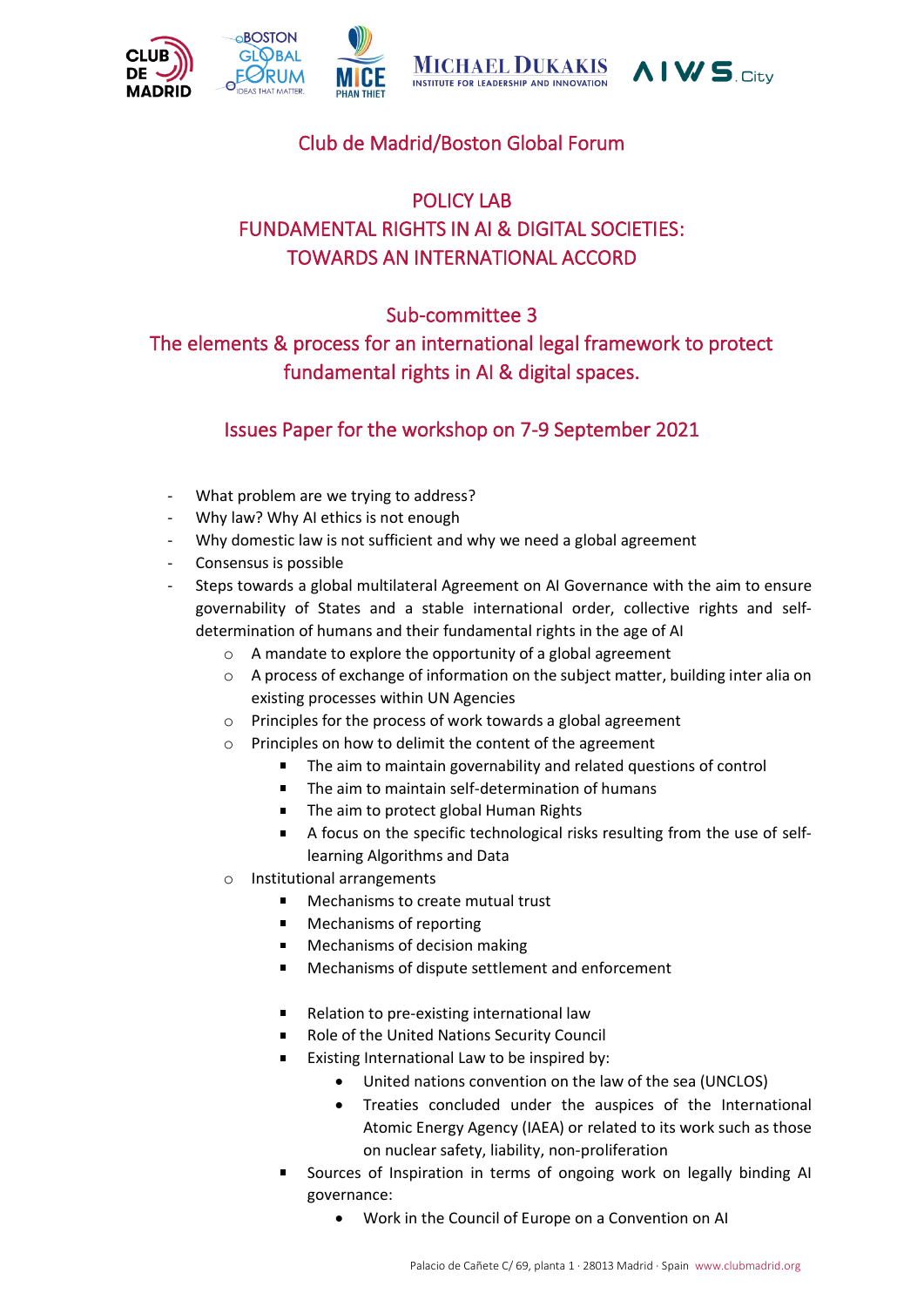

# Club de Madrid/Boston Global Forum

# POLICY LAB FUNDAMENTAL RIGHTS IN AI & DIGITAL SOCIETIES: TOWARDS AN INTERNATIONAL ACCORD

## Sub-committee 3

The elements & process for an international legal framework to protect fundamental rights in AI & digital spaces.

## Issues Paper for the workshop on 7-9 September 2021

- What problem are we trying to address?
- Why law? Why AI ethics is not enough
- Why domestic law is not sufficient and why we need a global agreement
- Consensus is possible
- Steps towards a global multilateral Agreement on AI Governance with the aim to ensure governability of States and a stable international order, collective rights and selfdetermination of humans and their fundamental rights in the age of AI
	- o A mandate to explore the opportunity of a global agreement
	- $\circ$  A process of exchange of information on the subject matter, building inter alia on existing processes within UN Agencies
	- o Principles for the process of work towards a global agreement
	- o Principles on how to delimit the content of the agreement
		- The aim to maintain governability and related questions of control  $\blacksquare$
		- $\blacksquare$ The aim to maintain self-determination of humans
		- The aim to protect global Human Rights
		- A focus on the specific technological risks resulting from the use of selflearning Algorithms and Data
	- o Institutional arrangements
		- $\blacksquare$ Mechanisms to create mutual trust
		- Mechanisms of reporting
		- Mechanisms of decision making
		- Mechanisms of dispute settlement and enforcement
		- Relation to pre-existing international law
		- Role of the United Nations Security Council
		- $\blacksquare$ Existing International Law to be inspired by:
			- United nations convention on the law of the sea (UNCLOS)
			- Treaties concluded under the auspices of the International Atomic Energy Agency (IAEA) or related to its work such as those on nuclear safety, liability, non-proliferation
		- Sources of Inspiration in terms of ongoing work on legally binding AI governance:
			- Work in the Council of Europe on a Convention on AI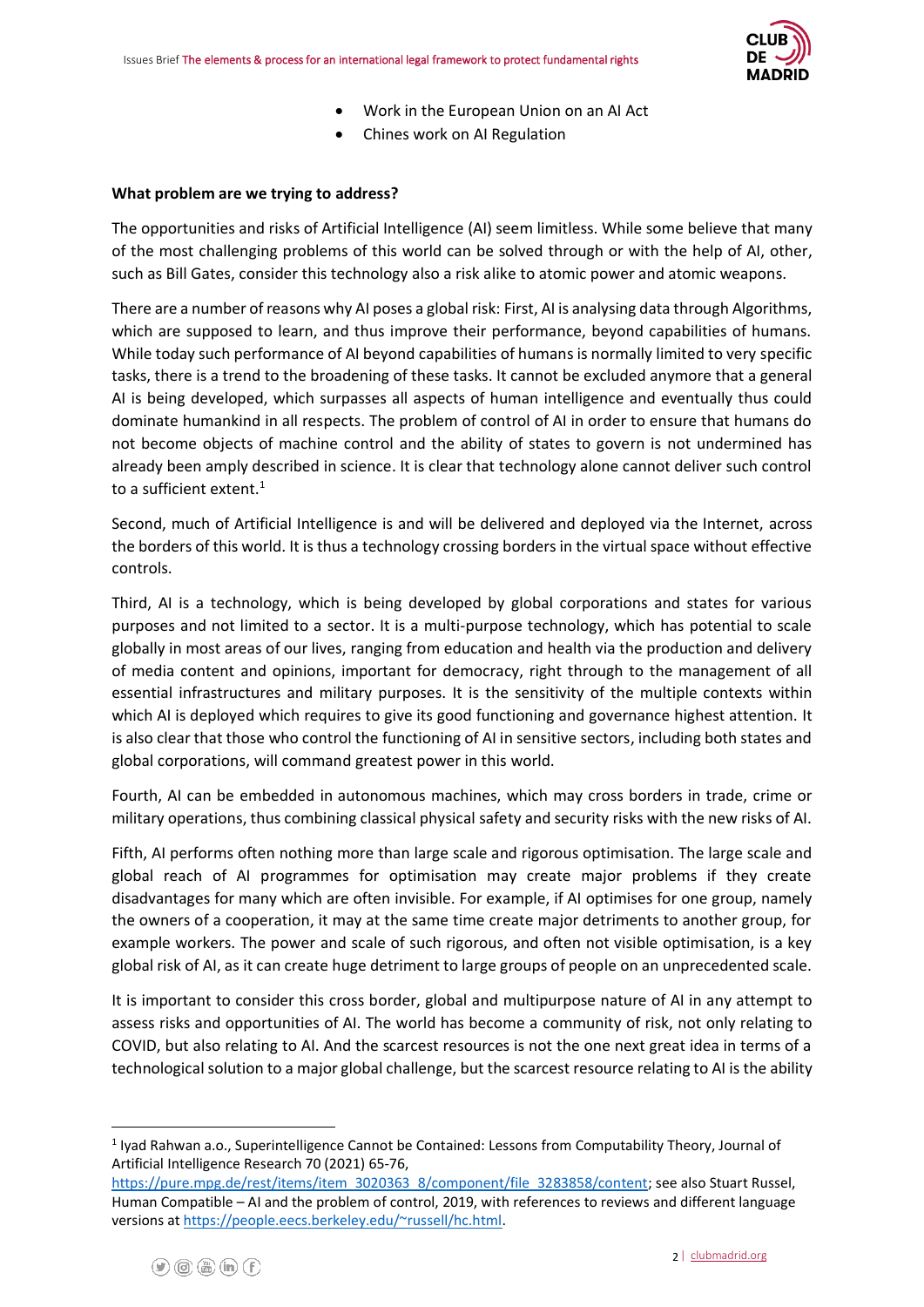

- Work in the European Union on an AI Act
- Chines work on AI Regulation

#### **What problem are we trying to address?**

The opportunities and risks of Artificial Intelligence (AI) seem limitless. While some believe that many of the most challenging problems of this world can be solved through or with the help of AI, other, such as Bill Gates, consider this technology also a risk alike to atomic power and atomic weapons.

There are a number of reasons why AI poses a global risk: First, AI is analysing data through Algorithms, which are supposed to learn, and thus improve their performance, beyond capabilities of humans. While today such performance of AI beyond capabilities of humans is normally limited to very specific tasks, there is a trend to the broadening of these tasks. It cannot be excluded anymore that a general AI is being developed, which surpasses all aspects of human intelligence and eventually thus could dominate humankind in all respects. The problem of control of AI in order to ensure that humans do not become objects of machine control and the ability of states to govern is not undermined has already been amply described in science. It is clear that technology alone cannot deliver such control to a sufficient extent.<sup>1</sup>

Second, much of Artificial Intelligence is and will be delivered and deployed via the Internet, across the borders of this world. It is thus a technology crossing borders in the virtual space without effective controls.

Third, AI is a technology, which is being developed by global corporations and states for various purposes and not limited to a sector. It is a multi-purpose technology, which has potential to scale globally in most areas of our lives, ranging from education and health via the production and delivery of media content and opinions, important for democracy, right through to the management of all essential infrastructures and military purposes. It is the sensitivity of the multiple contexts within which AI is deployed which requires to give its good functioning and governance highest attention. It is also clear that those who control the functioning of AI in sensitive sectors, including both states and global corporations, will command greatest power in this world.

Fourth, AI can be embedded in autonomous machines, which may cross borders in trade, crime or military operations, thus combining classical physical safety and security risks with the new risks of AI.

Fifth, AI performs often nothing more than large scale and rigorous optimisation. The large scale and global reach of AI programmes for optimisation may create major problems if they create disadvantages for many which are often invisible. For example, if AI optimises for one group, namely the owners of a cooperation, it may at the same time create major detriments to another group, for example workers. The power and scale of such rigorous, and often not visible optimisation, is a key global risk of AI, as it can create huge detriment to large groups of people on an unprecedented scale.

It is important to consider this cross border, global and multipurpose nature of AI in any attempt to assess risks and opportunities of AI. The world has become a community of risk, not only relating to COVID, but also relating to AI. And the scarcest resources is not the one next great idea in terms of a technological solution to a major global challenge, but the scarcest resource relating to AI is the ability

<sup>&</sup>lt;sup>1</sup> Iyad Rahwan a.o., Superintelligence Cannot be Contained: Lessons from Computability Theory, Journal of Artificial Intelligence Research 70 (2021) 65-76,

[https://pure.mpg.de/rest/items/item\\_3020363\\_8/component/file\\_3283858/content;](https://pure.mpg.de/rest/items/item_3020363_8/component/file_3283858/content) see also Stuart Russel, Human Compatible – AI and the problem of control, 2019, with references to reviews and different language versions a[t https://people.eecs.berkeley.edu/~russell/hc.html.](https://people.eecs.berkeley.edu/~russell/hc.html)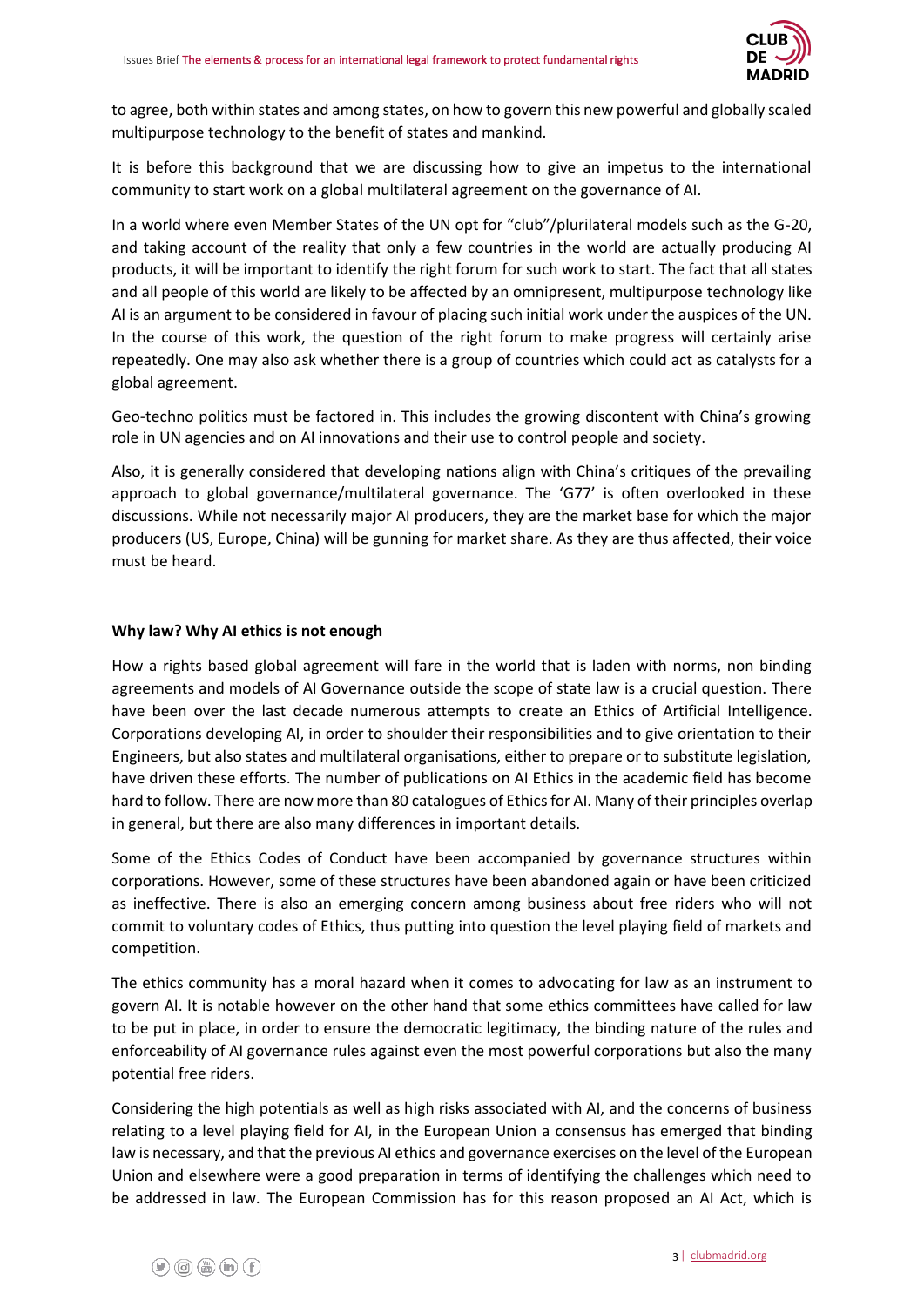

to agree, both within states and among states, on how to govern this new powerful and globally scaled multipurpose technology to the benefit of states and mankind.

It is before this background that we are discussing how to give an impetus to the international community to start work on a global multilateral agreement on the governance of AI.

In a world where even Member States of the UN opt for "club"/plurilateral models such as the G-20, and taking account of the reality that only a few countries in the world are actually producing AI products, it will be important to identify the right forum for such work to start. The fact that all states and all people of this world are likely to be affected by an omnipresent, multipurpose technology like AI is an argument to be considered in favour of placing such initial work under the auspices of the UN. In the course of this work, the question of the right forum to make progress will certainly arise repeatedly. One may also ask whether there is a group of countries which could act as catalysts for a global agreement.

Geo-techno politics must be factored in. This includes the growing discontent with China's growing role in UN agencies and on AI innovations and their use to control people and society.

Also, it is generally considered that developing nations align with China's critiques of the prevailing approach to global governance/multilateral governance. The 'G77' is often overlooked in these discussions. While not necessarily major AI producers, they are the market base for which the major producers (US, Europe, China) will be gunning for market share. As they are thus affected, their voice must be heard.

#### **Why law? Why AI ethics is not enough**

How a rights based global agreement will fare in the world that is laden with norms, non binding agreements and models of AI Governance outside the scope of state law is a crucial question. There have been over the last decade numerous attempts to create an Ethics of Artificial Intelligence. Corporations developing AI, in order to shoulder their responsibilities and to give orientation to their Engineers, but also states and multilateral organisations, either to prepare or to substitute legislation, have driven these efforts. The number of publications on AI Ethics in the academic field has become hard to follow. There are now more than 80 catalogues of Ethics for AI. Many of their principles overlap in general, but there are also many differences in important details.

Some of the Ethics Codes of Conduct have been accompanied by governance structures within corporations. However, some of these structures have been abandoned again or have been criticized as ineffective. There is also an emerging concern among business about free riders who will not commit to voluntary codes of Ethics, thus putting into question the level playing field of markets and competition.

The ethics community has a moral hazard when it comes to advocating for law as an instrument to govern AI. It is notable however on the other hand that some ethics committees have called for law to be put in place, in order to ensure the democratic legitimacy, the binding nature of the rules and enforceability of AI governance rules against even the most powerful corporations but also the many potential free riders.

Considering the high potentials as well as high risks associated with AI, and the concerns of business relating to a level playing field for AI, in the European Union a consensus has emerged that binding law is necessary, and that the previous AI ethics and governance exercises on the level of the European Union and elsewhere were a good preparation in terms of identifying the challenges which need to be addressed in law. The European Commission has for this reason proposed an AI Act, which is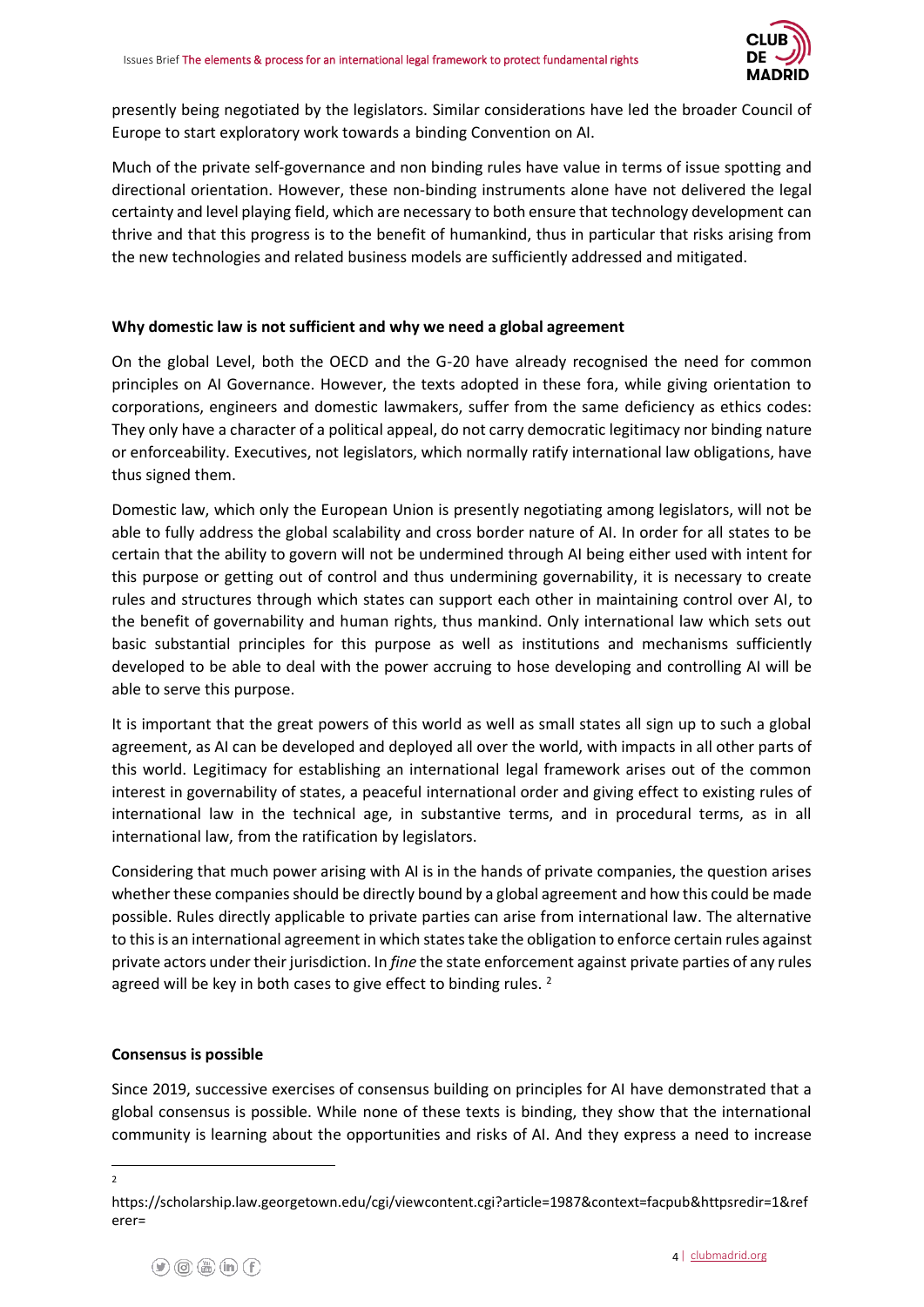

presently being negotiated by the legislators. Similar considerations have led the broader Council of Europe to start exploratory work towards a binding Convention on AI.

Much of the private self-governance and non binding rules have value in terms of issue spotting and directional orientation. However, these non-binding instruments alone have not delivered the legal certainty and level playing field, which are necessary to both ensure that technology development can thrive and that this progress is to the benefit of humankind, thus in particular that risks arising from the new technologies and related business models are sufficiently addressed and mitigated.

#### **Why domestic law is not sufficient and why we need a global agreement**

On the global Level, both the OECD and the G-20 have already recognised the need for common principles on AI Governance. However, the texts adopted in these fora, while giving orientation to corporations, engineers and domestic lawmakers, suffer from the same deficiency as ethics codes: They only have a character of a political appeal, do not carry democratic legitimacy nor binding nature or enforceability. Executives, not legislators, which normally ratify international law obligations, have thus signed them.

Domestic law, which only the European Union is presently negotiating among legislators, will not be able to fully address the global scalability and cross border nature of AI. In order for all states to be certain that the ability to govern will not be undermined through AI being either used with intent for this purpose or getting out of control and thus undermining governability, it is necessary to create rules and structures through which states can support each other in maintaining control over AI, to the benefit of governability and human rights, thus mankind. Only international law which sets out basic substantial principles for this purpose as well as institutions and mechanisms sufficiently developed to be able to deal with the power accruing to hose developing and controlling AI will be able to serve this purpose.

It is important that the great powers of this world as well as small states all sign up to such a global agreement, as AI can be developed and deployed all over the world, with impacts in all other parts of this world. Legitimacy for establishing an international legal framework arises out of the common interest in governability of states, a peaceful international order and giving effect to existing rules of international law in the technical age, in substantive terms, and in procedural terms, as in all international law, from the ratification by legislators.

Considering that much power arising with AI is in the hands of private companies, the question arises whether these companies should be directly bound by a global agreement and how this could be made possible. Rules directly applicable to private parties can arise from international law. The alternative to this is an international agreement in which states take the obligation to enforce certain rules against private actors under their jurisdiction. In *fine* the state enforcement against private parties of any rules agreed will be key in both cases to give effect to binding rules.<sup>2</sup>

#### **Consensus is possible**

Since 2019, successive exercises of consensus building on principles for AI have demonstrated that a global consensus is possible. While none of these texts is binding, they show that the international community is learning about the opportunities and risks of AI. And they express a need to increase

<sup>2</sup>

https://scholarship.law.georgetown.edu/cgi/viewcontent.cgi?article=1987&context=facpub&httpsredir=1&ref erer=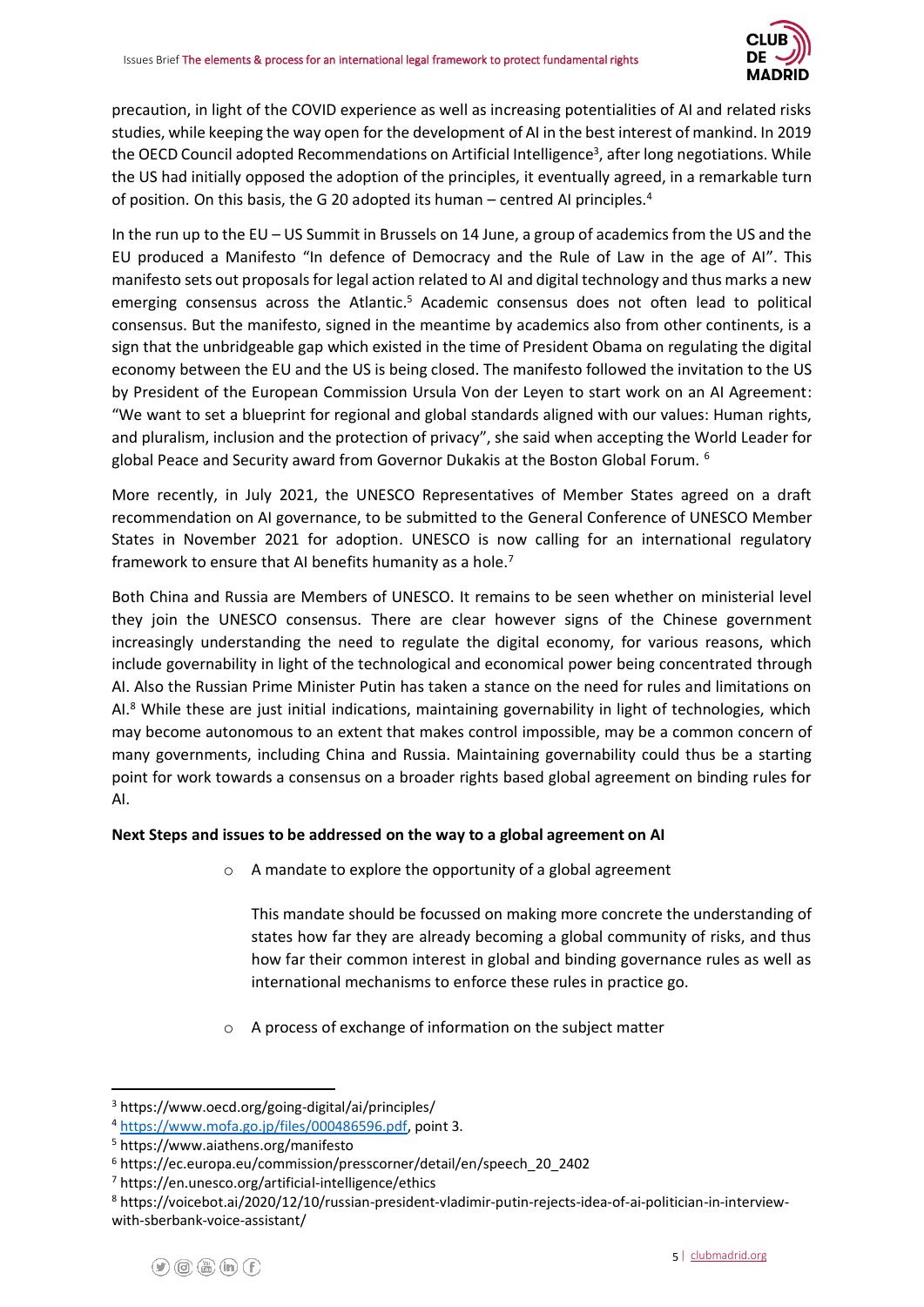

precaution, in light of the COVID experience as well as increasing potentialities of AI and related risks studies, while keeping the way open for the development of AI in the best interest of mankind. In 2019 the OECD Council adopted Recommendations on Artificial Intelligence<sup>3</sup>, after long negotiations. While the US had initially opposed the adoption of the principles, it eventually agreed, in a remarkable turn of position. On this basis, the G 20 adopted its human – centred AI principles.<sup>4</sup>

In the run up to the EU – US Summit in Brussels on 14 June, a group of academics from the US and the EU produced a Manifesto "In defence of Democracy and the Rule of Law in the age of AI". This manifesto sets out proposals for legal action related to AI and digital technology and thus marks a new emerging consensus across the Atlantic.<sup>5</sup> Academic consensus does not often lead to political consensus. But the manifesto, signed in the meantime by academics also from other continents, is a sign that the unbridgeable gap which existed in the time of President Obama on regulating the digital economy between the EU and the US is being closed. The manifesto followed the invitation to the US by President of the European Commission Ursula Von der Leyen to start work on an AI Agreement: "We want to set a blueprint for regional and global standards aligned with our values: Human rights, and pluralism, inclusion and the protection of privacy", she said when accepting the World Leader for global Peace and Security award from Governor Dukakis at the Boston Global Forum. <sup>6</sup>

More recently, in July 2021, the UNESCO Representatives of Member States agreed on a draft recommendation on AI governance, to be submitted to the General Conference of UNESCO Member States in November 2021 for adoption. UNESCO is now calling for an international regulatory framework to ensure that AI benefits humanity as a hole.<sup>7</sup>

Both China and Russia are Members of UNESCO. It remains to be seen whether on ministerial level they join the UNESCO consensus. There are clear however signs of the Chinese government increasingly understanding the need to regulate the digital economy, for various reasons, which include governability in light of the technological and economical power being concentrated through AI. Also the Russian Prime Minister Putin has taken a stance on the need for rules and limitations on  $Al.<sup>8</sup>$  While these are just initial indications, maintaining governability in light of technologies, which may become autonomous to an extent that makes control impossible, may be a common concern of many governments, including China and Russia. Maintaining governability could thus be a starting point for work towards a consensus on a broader rights based global agreement on binding rules for AI.

### **Next Steps and issues to be addressed on the way to a global agreement on AI**

o A mandate to explore the opportunity of a global agreement

This mandate should be focussed on making more concrete the understanding of states how far they are already becoming a global community of risks, and thus how far their common interest in global and binding governance rules as well as international mechanisms to enforce these rules in practice go.

o A process of exchange of information on the subject matter

<sup>3</sup> https://www.oecd.org/going-digital/ai/principles/

<sup>4</sup> [https://www.mofa.go.jp/files/000486596.pdf,](https://www.mofa.go.jp/files/000486596.pdf) point 3.

<sup>5</sup> https://www.aiathens.org/manifesto

<sup>6</sup> https://ec.europa.eu/commission/presscorner/detail/en/speech\_20\_2402

<sup>7</sup> https://en.unesco.org/artificial-intelligence/ethics

<sup>8</sup> https://voicebot.ai/2020/12/10/russian-president-vladimir-putin-rejects-idea-of-ai-politician-in-interviewwith-sberbank-voice-assistant/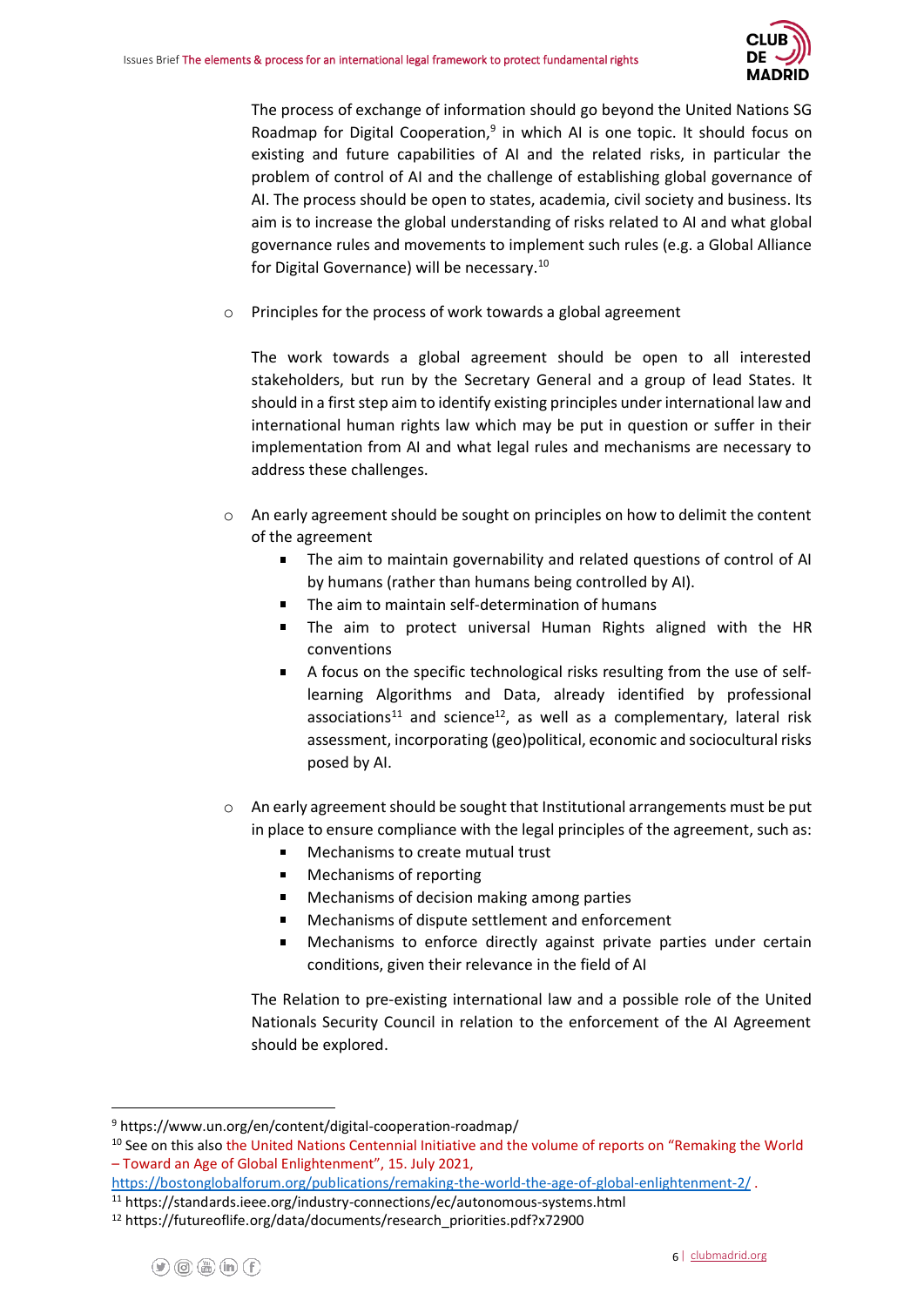

The process of exchange of information should go beyond the United Nations SG Roadmap for Digital Cooperation,<sup>9</sup> in which AI is one topic. It should focus on existing and future capabilities of AI and the related risks, in particular the problem of control of AI and the challenge of establishing global governance of AI. The process should be open to states, academia, civil society and business. Its aim is to increase the global understanding of risks related to AI and what global governance rules and movements to implement such rules (e.g. a Global Alliance for Digital Governance) will be necessary. 10

Principles for the process of work towards a global agreement

The work towards a global agreement should be open to all interested stakeholders, but run by the Secretary General and a group of lead States. It should in a first step aim to identify existing principles under international law and international human rights law which may be put in question or suffer in their implementation from AI and what legal rules and mechanisms are necessary to address these challenges.

- $\circ$  An early agreement should be sought on principles on how to delimit the content of the agreement
	- $\blacksquare$ The aim to maintain governability and related questions of control of AI by humans (rather than humans being controlled by AI).
	- The aim to maintain self-determination of humans
	- The aim to protect universal Human Rights aligned with the HR conventions
	- A focus on the specific technological risks resulting from the use of selflearning Algorithms and Data, already identified by professional associations<sup>11</sup> and science<sup>12</sup>, as well as a complementary, lateral risk assessment, incorporating (geo)political, economic and sociocultural risks posed by AI.
- $\circ$  An early agreement should be sought that Institutional arrangements must be put in place to ensure compliance with the legal principles of the agreement, such as:
	- Mechanisms to create mutual trust
	- Mechanisms of reporting  $\blacksquare$
	- Mechanisms of decision making among parties
	- Mechanisms of dispute settlement and enforcement
	- Mechanisms to enforce directly against private parties under certain conditions, given their relevance in the field of AI

The Relation to pre-existing international law and a possible role of the United Nationals Security Council in relation to the enforcement of the AI Agreement should be explored.

<sup>9</sup> https://www.un.org/en/content/digital-cooperation-roadmap/

<sup>&</sup>lt;sup>10</sup> See on this also the United Nations Centennial Initiative and the volume of reports on "Remaking the World – Toward an Age of Global Enlightenment", 15. July 2021,

<https://bostonglobalforum.org/publications/remaking-the-world-the-age-of-global-enlightenment-2/> .

<sup>11</sup> https://standards.ieee.org/industry-connections/ec/autonomous-systems.html

<sup>12</sup> https://futureoflife.org/data/documents/research\_priorities.pdf?x72900